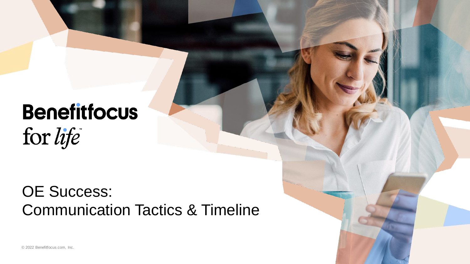# **Benefitfocus** for life

### OE Success: Communication Tactics & Timeline

© 2022 Benefitfocus.com, Inc.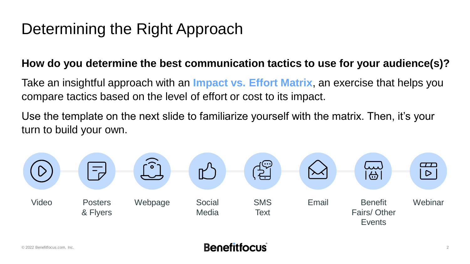### Determining the Right Approach

### **How do you determine the best communication tactics to use for your audience(s)?**

Take an insightful approach with an **Impact vs. Effort Matrix**, an exercise that helps you compare tactics based on the level of effort or cost to its impact.

Use the template on the next slide to familiarize yourself with the matrix. Then, it's your turn to build your own.

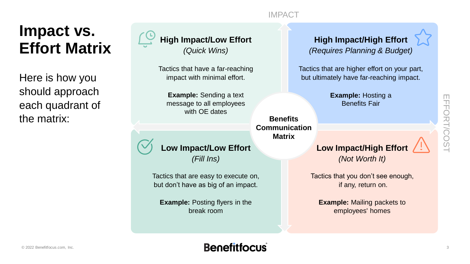#### IMPACT

### **Impact vs. Effort Matrix**

Here is how you should approach each quadrant of the matrix:



Tactics that have a far-reaching impact with minimal effort.

**Example:** Sending a text message to all employees with OE dates



Tactics that are easy to execute on, but don't have as big of an impact.

**Example:** Posting flyers in the break room

#### **High Impact/High Effort**  *(Requires Planning & Budget)*

Tactics that are higher effort on your part, but ultimately have far-reaching impact.

> **Example:** Hosting a Benefits Fair

**Benefits Communication Matrix**

**Low Impact/High Effort** *(Not Worth It)*

Tactics that you don't see enough, if any, return on.

**Example:** Mailing packets to employees' homes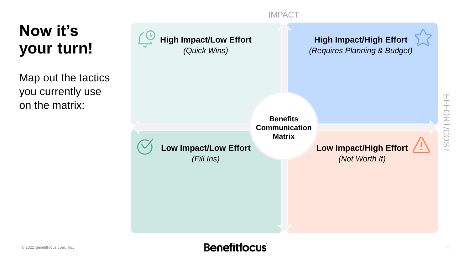#### IMPACT

**Now it's your turn!**

Map out the tactics you currently use on the matrix:

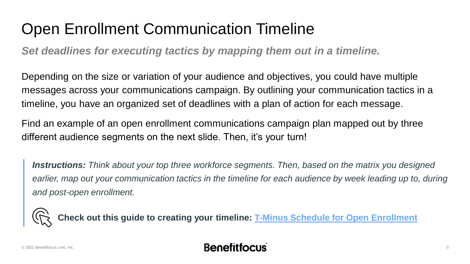## Open Enrollment Communication Timeline

*Set deadlines for executing tactics by mapping them out in a timeline.*

Depending on the size or variation of your audience and objectives, you could have multiple messages across your communications campaign. By outlining your communication tactics in a timeline, you have an organized set of deadlines with a plan of action for each message.

Find an example of an open enrollment communications campaign plan mapped out by three different audience segments on the next slide. Then, it's your turn!

*Instructions: Think about your top three workforce segments. Then, based on the matrix you designed*  earlier, map out your communication tactics in the timeline for each audience by week leading up to, during *and post-open enrollment.* 



**Check out this guide to creating your timeline: [T-Minus Schedule for Open Enrollment](https://www.benefitfocus.com/resources/guide/t-minus-schedule-open-enrollment)**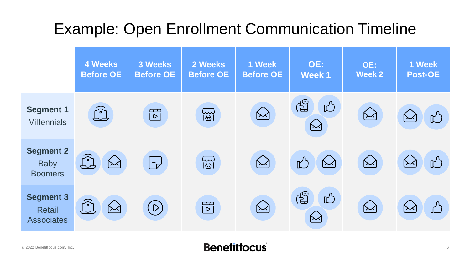## Example: Open Enrollment Communication Timeline

|                                                        | <b>4 Weeks</b><br><b>Before OE</b>        | 3 Weeks<br><b>Before OE</b>         | 2 Weeks<br><b>Before OE</b> | 1 Week<br><b>Before OE</b> | OE:<br><b>Week1</b>                      | OE:<br><b>Week 2</b> | 1 Week<br><b>Post-OE</b>       |
|--------------------------------------------------------|-------------------------------------------|-------------------------------------|-----------------------------|----------------------------|------------------------------------------|----------------------|--------------------------------|
| <b>Segment 1</b><br><b>Millennials</b>                 | $\widehat{\mathbb{C}}$                    | $\Box$<br>$\boxed{\triangleright}$  | <b>EST</b>                  | $\bigotimes$               | ද්ධු<br>$\mathbb{R}^{3}$<br>$\bigotimes$ |                      | $\bigotimes$<br>$\mathbb{L}^3$ |
| <b>Segment 2</b><br><b>Baby</b><br><b>Boomers</b>      | $\widehat{[\mathcal{C}]}$<br>$\bigotimes$ | $\left  \frac{1}{\sqrt{2}} \right $ | <b>ES</b>                   | $\bigotimes$               | $\bigotimes$                             | $\bigotimes$         | $\mathbb{L}$<br>$\leftarrow$   |
| <b>Segment 3</b><br><b>Retail</b><br><b>Associates</b> | <u>်)</u><br>$\bigotimes$                 | $\left(\mathsf{D}\right)$           | $\mathbb{E}$                | $\bigotimes$               | ි<br>$\mathbb{R}^{3}$<br>$\sum$          | $\bowtie$            | $\mathbb{L}$<br>$\sim$         |